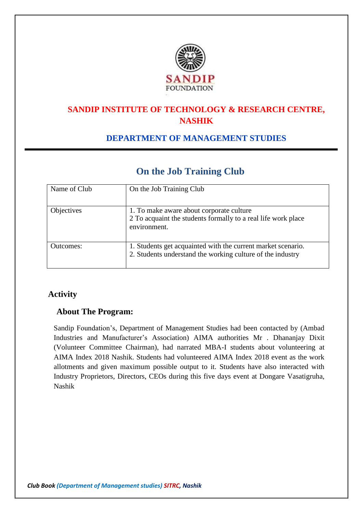

# **SANDIP INSTITUTE OF TECHNOLOGY & RESEARCH CENTRE, NASHIK**

## **DEPARTMENT OF MANAGEMENT STUDIES**

# **On the Job Training Club**

| Name of Club      | On the Job Training Club                                                                                                   |
|-------------------|----------------------------------------------------------------------------------------------------------------------------|
| <b>Objectives</b> | 1. To make aware about corporate culture<br>2 To acquaint the students formally to a real life work place<br>environment.  |
| Outcomes:         | 1. Students get acquainted with the current market scenario.<br>2. Students understand the working culture of the industry |

## **Activity**

#### **About The Program:**

Sandip Foundation's, Department of Management Studies had been contacted by (Ambad Industries and Manufacturer's Association) AIMA authorities Mr . Dhananjay Dixit (Volunteer Committee Chairman), had narrated MBA-I students about volunteering at AIMA Index 2018 Nashik. Students had volunteered AIMA Index 2018 event as the work allotments and given maximum possible output to it. Students have also interacted with Industry Proprietors, Directors, CEOs during this five days event at Dongare Vasatigruha, Nashik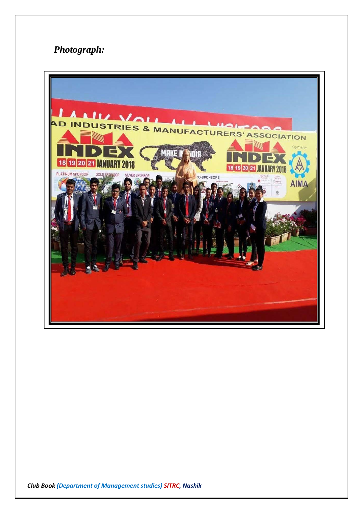# *Photograph:*